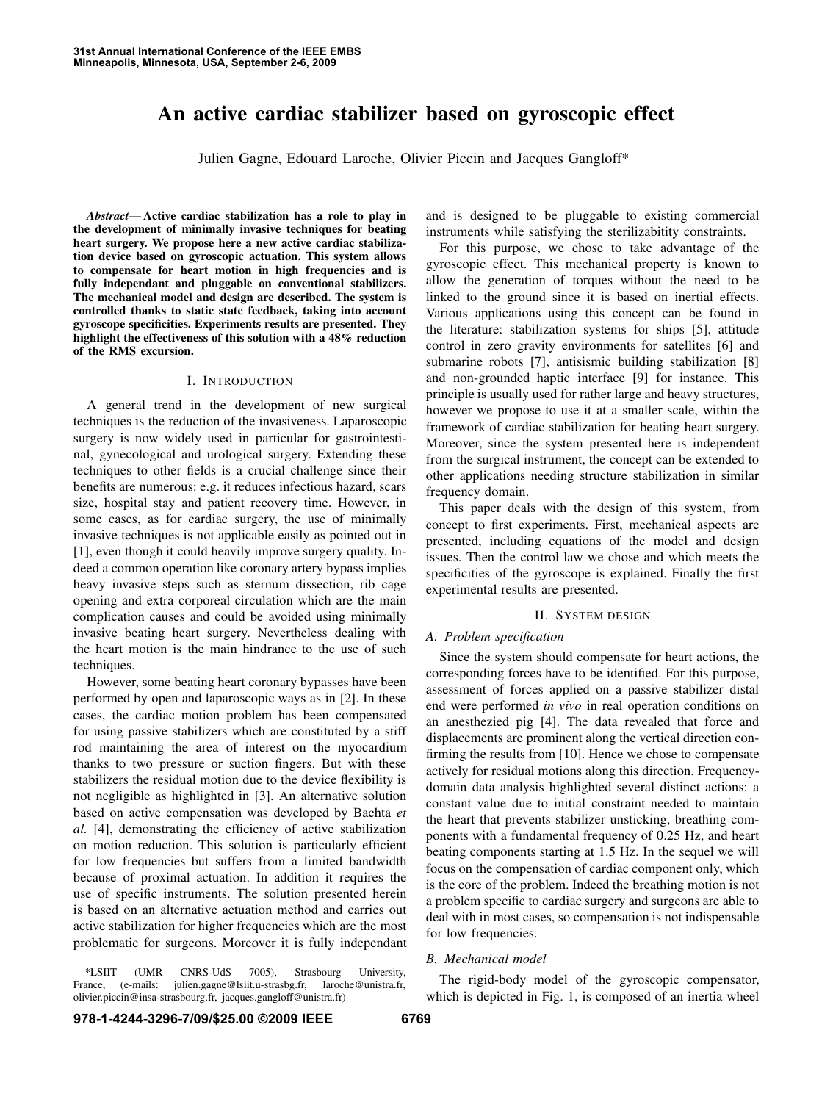# **An active cardiac stabilizer based on gyroscopic effect**

Julien Gagne, Edouard Laroche, Olivier Piccin and Jacques Gangloff\*

*Abstract***— Active cardiac stabilization has a role to play in the development of minimally invasive techniques for beating heart surgery. We propose here a new active cardiac stabilization device based on gyroscopic actuation. This system allows to compensate for heart motion in high frequencies and is fully independant and pluggable on conventional stabilizers. The mechanical model and design are described. The system is controlled thanks to static state feedback, taking into account gyroscope specificities. Experiments results are presented. They highlight the effectiveness of this solution with a 48% reduction of the RMS excursion.**

## I. INTRODUCTION

A general trend in the development of new surgical techniques is the reduction of the invasiveness. Laparoscopic surgery is now widely used in particular for gastrointestinal, gynecological and urological surgery. Extending these techniques to other fields is a crucial challenge since their benefits are numerous: e.g. it reduces infectious hazard, scars size, hospital stay and patient recovery time. However, in some cases, as for cardiac surgery, the use of minimally invasive techniques is not applicable easily as pointed out in [1], even though it could heavily improve surgery quality. Indeed a common operation like coronary artery bypass implies heavy invasive steps such as sternum dissection, rib cage opening and extra corporeal circulation which are the main complication causes and could be avoided using minimally invasive beating heart surgery. Nevertheless dealing with the heart motion is the main hindrance to the use of such techniques.

However, some beating heart coronary bypasses have been performed by open and laparoscopic ways as in [2]. In these cases, the cardiac motion problem has been compensated for using passive stabilizers which are constituted by a stiff rod maintaining the area of interest on the myocardium thanks to two pressure or suction fingers. But with these stabilizers the residual motion due to the device flexibility is not negligible as highlighted in [3]. An alternative solution based on active compensation was developed by Bachta *et al.* [4], demonstrating the efficiency of active stabilization on motion reduction. This solution is particularly efficient for low frequencies but suffers from a limited bandwidth because of proximal actuation. In addition it requires the use of specific instruments. The solution presented herein is based on an alternative actuation method and carries out active stabilization for higher frequencies which are the most problematic for surgeons. Moreover it is fully independant

\*LSIIT (UMR CNRS-UdS 7005), Strasbourg University, France, (e-mails: julien.gagne@lsiit.u-strasbg.fr, olivier.piccin@insa-strasbourg.fr, jacques.gangloff@unistra.fr)

and is designed to be pluggable to existing commercial instruments while satisfying the sterilizabitity constraints.

For this purpose, we chose to take advantage of the gyroscopic effect. This mechanical property is known to allow the generation of torques without the need to be linked to the ground since it is based on inertial effects. Various applications using this concept can be found in the literature: stabilization systems for ships [5], attitude control in zero gravity environments for satellites [6] and submarine robots [7], antisismic building stabilization [8] and non-grounded haptic interface [9] for instance. This principle is usually used for rather large and heavy structures, however we propose to use it at a smaller scale, within the framework of cardiac stabilization for beating heart surgery. Moreover, since the system presented here is independent from the surgical instrument, the concept can be extended to other applications needing structure stabilization in similar frequency domain.

This paper deals with the design of this system, from concept to first experiments. First, mechanical aspects are presented, including equations of the model and design issues. Then the control law we chose and which meets the specificities of the gyroscope is explained. Finally the first experimental results are presented.

## II. SYSTEM DESIGN

# *A. Problem specification*

Since the system should compensate for heart actions, the corresponding forces have to be identified. For this purpose, assessment of forces applied on a passive stabilizer distal end were performed *in vivo* in real operation conditions on an anesthezied pig [4]. The data revealed that force and displacements are prominent along the vertical direction confirming the results from [10]. Hence we chose to compensate actively for residual motions along this direction. Frequencydomain data analysis highlighted several distinct actions: a constant value due to initial constraint needed to maintain the heart that prevents stabilizer unsticking, breathing components with a fundamental frequency of 0.25 Hz, and heart beating components starting at 1.5 Hz. In the sequel we will focus on the compensation of cardiac component only, which is the core of the problem. Indeed the breathing motion is not a problem specific to cardiac surgery and surgeons are able to deal with in most cases, so compensation is not indispensable for low frequencies.

# *B. Mechanical model*

The rigid-body model of the gyroscopic compensator, which is depicted in Fig. 1, is composed of an inertia wheel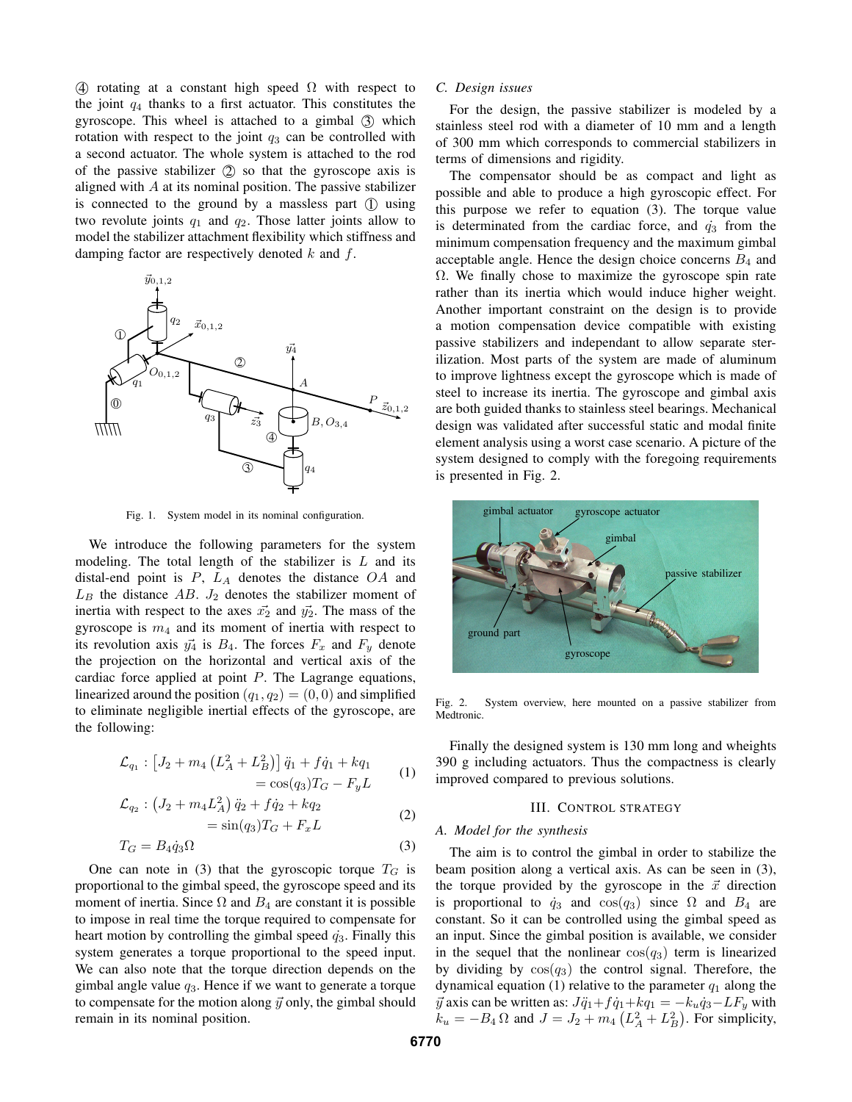4 rotating at a constant high speed  $\Omega$  with respect to the joint  $q_4$  thanks to a first actuator. This constitutes the gyroscope. This wheel is attached to a gimbal  $(3)$  which rotation with respect to the joint  $q_3$  can be controlled with a second actuator. The whole system is attached to the rod of the passive stabilizer  $(2)$  so that the gyroscope axis is aligned with  $A$  at its nominal position. The passive stabilizer is connected to the ground by a massless part  $(1)$  using two revolute joints  $q_1$  and  $q_2$ . Those latter joints allow to model the stabilizer attachment flexibility which stiffness and damping factor are respectively denoted  $k$  and  $f$ .



Fig. 1. System model in its nominal configuration.

We introduce the following parameters for the system modeling. The total length of the stabilizer is  $L$  and its distal-end point is  $P$ ,  $L_A$  denotes the distance  $OA$  and  $L_B$  the distance  $AB$ .  $J_2$  denotes the stabilizer moment of inertia with respect to the axes  $\vec{x_2}$  and  $\vec{y_2}$ . The mass of the gyroscope is  $m_4$  and its moment of inertia with respect to its revolution axis  $\vec{y_4}$  is  $B_4$ . The forces  $F_x$  and  $F_y$  denote the projection on the horizontal and vertical axis of the cardiac force applied at point P. The Lagrange equations, linearized around the position  $(q_1, q_2) = (0, 0)$  and simplified to eliminate negligible inertial effects of the gyroscope, are the following:

$$
\mathcal{L}_{q_1} : [J_2 + m_4 \left( L_A^2 + L_B^2 \right)] \ddot{q}_1 + f \dot{q}_1 + k q_1
$$
  
=  $\cos(q_3) T_G - F_y L$  (1)

$$
\mathcal{L}_{q_2}: \left(J_2 + m_4 L_A^2\right) \ddot{q}_2 + f \dot{q}_2 + k q_2 \n= \sin(q_3) T_G + F_x L
$$
\n(2)

$$
T_G = B_4 \dot{q}_3 \Omega \tag{3}
$$

One can note in (3) that the gyroscopic torque  $T_G$  is proportional to the gimbal speed, the gyroscope speed and its moment of inertia. Since  $\Omega$  and  $B_4$  are constant it is possible to impose in real time the torque required to compensate for heart motion by controlling the gimbal speed  $\dot{q}_3$ . Finally this system generates a torque proportional to the speed input. We can also note that the torque direction depends on the gimbal angle value  $q_3$ . Hence if we want to generate a torque to compensate for the motion along  $\vec{y}$  only, the gimbal should remain in its nominal position.

#### *C. Design issues*

For the design, the passive stabilizer is modeled by a stainless steel rod with a diameter of 10 mm and a length of 300 mm which corresponds to commercial stabilizers in terms of dimensions and rigidity.

The compensator should be as compact and light as possible and able to produce a high gyroscopic effect. For this purpose we refer to equation (3). The torque value is determinated from the cardiac force, and  $\dot{q}_3$  from the minimum compensation frequency and the maximum gimbal acceptable angle. Hence the design choice concerns  $B_4$  and  $\Omega$ . We finally chose to maximize the gyroscope spin rate rather than its inertia which would induce higher weight. Another important constraint on the design is to provide a motion compensation device compatible with existing passive stabilizers and independant to allow separate sterilization. Most parts of the system are made of aluminum to improve lightness except the gyroscope which is made of steel to increase its inertia. The gyroscope and gimbal axis are both guided thanks to stainless steel bearings. Mechanical design was validated after successful static and modal finite element analysis using a worst case scenario. A picture of the system designed to comply with the foregoing requirements is presented in Fig. 2.



Fig. 2. System overview, here mounted on a passive stabilizer from Medtronic.

Finally the designed system is 130 mm long and wheights 390 g including actuators. Thus the compactness is clearly improved compared to previous solutions.

### III. CONTROL STRATEGY

# *A. Model for the synthesis*

The aim is to control the gimbal in order to stabilize the beam position along a vertical axis. As can be seen in (3), the torque provided by the gyroscope in the  $\vec{x}$  direction is proportional to  $\dot{q}_3$  and  $\cos(q_3)$  since  $\Omega$  and  $B_4$  are constant. So it can be controlled using the gimbal speed as an input. Since the gimbal position is available, we consider in the sequel that the nonlinear  $cos(q_3)$  term is linearized by dividing by  $cos(q_3)$  the control signal. Therefore, the dynamical equation (1) relative to the parameter  $q_1$  along the  $\vec{y}$  axis can be written as:  $J\ddot{q}_1+f\dot{q}_1+kq_1 = -k_u\dot{q}_3 - LF_y$  with  $k_u = -B_4 \Omega$  and  $J = J_2 + m_4 (L_A^2 + L_B^2)$ . For simplicity,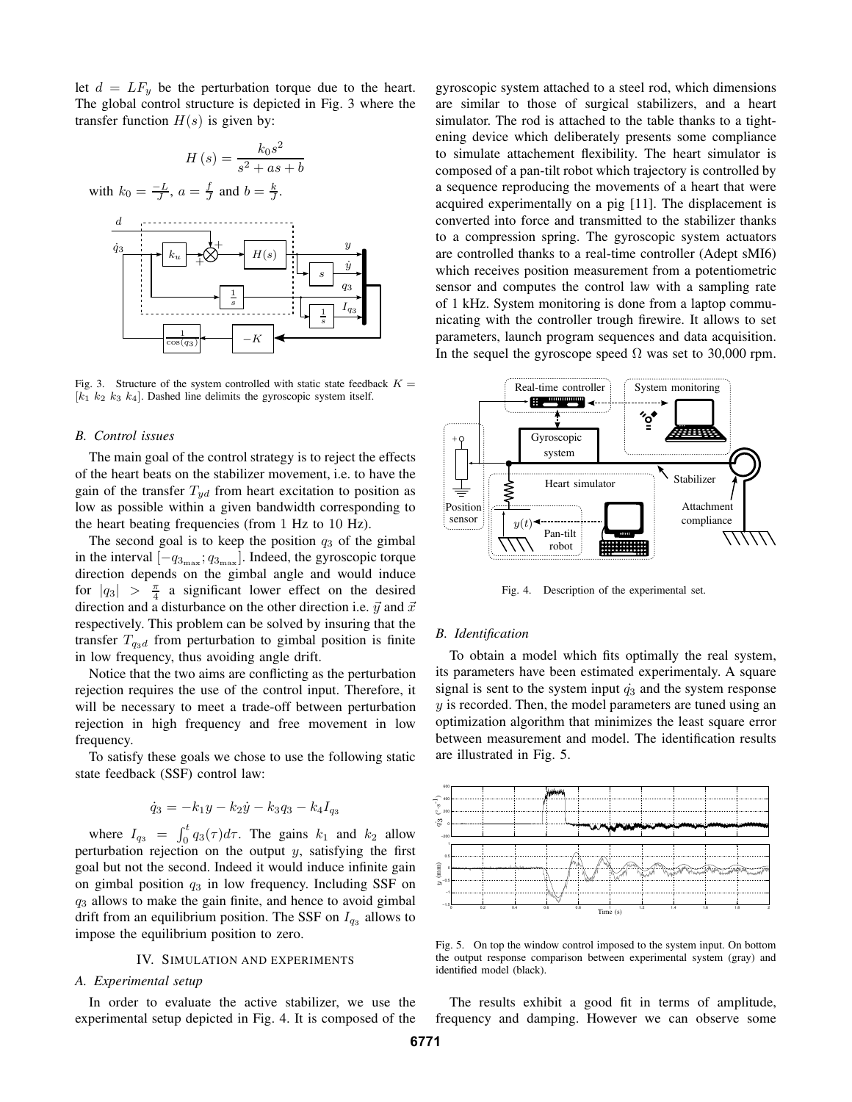let  $d = LF_y$  be the perturbation torque due to the heart. The global control structure is depicted in Fig. 3 where the transfer function  $H(s)$  is given by:



Fig. 3. Structure of the system controlled with static state feedback  $K =$  $[k_1 \ k_2 \ k_3 \ k_4]$ . Dashed line delimits the gyroscopic system itself.

## *B. Control issues*

The main goal of the control strategy is to reject the effects of the heart beats on the stabilizer movement, i.e. to have the gain of the transfer  $T_{ud}$  from heart excitation to position as low as possible within a given bandwidth corresponding to the heart beating frequencies (from 1 Hz to 10 Hz).

The second goal is to keep the position  $q_3$  of the gimbal in the interval  $[-q_{3_{\text{max}}}; q_{3_{\text{max}}}]$ . Indeed, the gyroscopic torque direction depends on the gimbal angle and would induce for  $|q_3| > \frac{\pi}{4}$  a significant lower effect on the desired direction and a disturbance on the other direction i.e.  $\vec{y}$  and  $\vec{x}$ respectively. This problem can be solved by insuring that the transfer  $T_{q3d}$  from perturbation to gimbal position is finite in low frequency, thus avoiding angle drift.

Notice that the two aims are conflicting as the perturbation rejection requires the use of the control input. Therefore, it will be necessary to meet a trade-off between perturbation rejection in high frequency and free movement in low frequency.

To satisfy these goals we chose to use the following static state feedback (SSF) control law:

$$
\dot{q}_3 = -k_1y - k_2\dot{y} - k_3q_3 - k_4I_{q_3}
$$

where  $I_{q_3} = \int_0^t q_3(\tau) d\tau$ . The gains  $k_1$  and  $k_2$  allow perturbation rejection on the output  $y$ , satisfying the first goal but not the second. Indeed it would induce infinite gain on gimbal position  $q_3$  in low frequency. Including SSF on  $q_3$  allows to make the gain finite, and hence to avoid gimbal drift from an equilibrium position. The SSF on  $I_{q_3}$  allows to impose the equilibrium position to zero.

# IV. SIMULATION AND EXPERIMENTS

# *A. Experimental setup*

In order to evaluate the active stabilizer, we use the experimental setup depicted in Fig. 4. It is composed of the gyroscopic system attached to a steel rod, which dimensions are similar to those of surgical stabilizers, and a heart simulator. The rod is attached to the table thanks to a tightening device which deliberately presents some compliance to simulate attachement flexibility. The heart simulator is composed of a pan-tilt robot which trajectory is controlled by a sequence reproducing the movements of a heart that were acquired experimentally on a pig [11]. The displacement is converted into force and transmitted to the stabilizer thanks to a compression spring. The gyroscopic system actuators are controlled thanks to a real-time controller (Adept sMI6) which receives position measurement from a potentiometric sensor and computes the control law with a sampling rate of 1 kHz. System monitoring is done from a laptop communicating with the controller trough firewire. It allows to set parameters, launch program sequences and data acquisition. In the sequel the gyroscope speed  $\Omega$  was set to 30,000 rpm.



Fig. 4. Description of the experimental set.

#### *B. Identification*

To obtain a model which fits optimally the real system, its parameters have been estimated experimentaly. A square signal is sent to the system input  $\dot{q}_3$  and the system response  $y$  is recorded. Then, the model parameters are tuned using an optimization algorithm that minimizes the least square error between measurement and model. The identification results are illustrated in Fig. 5.



Fig. 5. On top the window control imposed to the system input. On bottom the output response comparison between experimental system (gray) and identified model (black).

The results exhibit a good fit in terms of amplitude, frequency and damping. However we can observe some